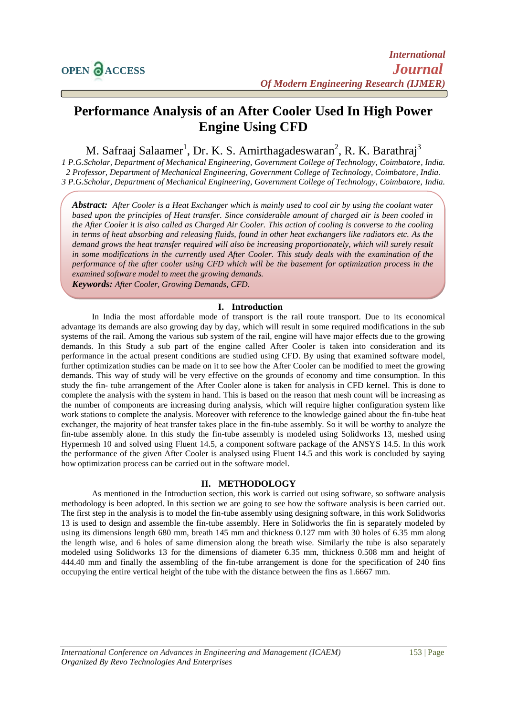# **Performance Analysis of an After Cooler Used In High Power Engine Using CFD**

M. Safraaj Salaamer<sup>1</sup>, Dr. K. S. Amirthagadeswaran<sup>2</sup>, R. K. Barathraj<sup>3</sup>

*1 P.G.Scholar, Department of Mechanical Engineering, Government College of Technology, Coimbatore, India. 2 Professor, Department of Mechanical Engineering, Government College of Technology, Coimbatore, India. 3 P.G.Scholar, Department of Mechanical Engineering, Government College of Technology, Coimbatore, India.*

*Abstract: After Cooler is a Heat Exchanger which is mainly used to cool air by using the coolant water based upon the principles of Heat transfer. Since considerable amount of charged air is been cooled in the After Cooler it is also called as Charged Air Cooler. This action of cooling is converse to the cooling in terms of heat absorbing and releasing fluids, found in other heat exchangers like radiators etc. As the demand grows the heat transfer required will also be increasing proportionately, which will surely result in some modifications in the currently used After Cooler. This study deals with the examination of the performance of the after cooler using CFD which will be the basement for optimization process in the examined software model to meet the growing demands.* 

*Keywords: After Cooler, Growing Demands, CFD.*

## **I. Introduction**

In India the most affordable mode of transport is the rail route transport. Due to its economical advantage its demands are also growing day by day, which will result in some required modifications in the sub systems of the rail. Among the various sub system of the rail, engine will have major effects due to the growing demands. In this Study a sub part of the engine called After Cooler is taken into consideration and its performance in the actual present conditions are studied using CFD. By using that examined software model, further optimization studies can be made on it to see how the After Cooler can be modified to meet the growing demands. This way of study will be very effective on the grounds of economy and time consumption. In this study the fin- tube arrangement of the After Cooler alone is taken for analysis in CFD kernel. This is done to complete the analysis with the system in hand. This is based on the reason that mesh count will be increasing as the number of components are increasing during analysis, which will require higher configuration system like work stations to complete the analysis. Moreover with reference to the knowledge gained about the fin-tube heat exchanger, the majority of heat transfer takes place in the fin-tube assembly. So it will be worthy to analyze the fin-tube assembly alone. In this study the fin-tube assembly is modeled using Solidworks 13, meshed using Hypermesh 10 and solved using Fluent 14.5, a component software package of the ANSYS 14.5. In this work the performance of the given After Cooler is analysed using Fluent 14.5 and this work is concluded by saying how optimization process can be carried out in the software model.

## **II. METHODOLOGY**

As mentioned in the Introduction section, this work is carried out using software, so software analysis methodology is been adopted. In this section we are going to see how the software analysis is been carried out. The first step in the analysis is to model the fin-tube assembly using designing software, in this work Solidworks 13 is used to design and assemble the fin-tube assembly. Here in Solidworks the fin is separately modeled by using its dimensions length 680 mm, breath 145 mm and thickness 0.127 mm with 30 holes of 6.35 mm along the length wise, and 6 holes of same dimension along the breath wise. Similarly the tube is also separately modeled using Solidworks 13 for the dimensions of diameter 6.35 mm, thickness 0.508 mm and height of 444.40 mm and finally the assembling of the fin-tube arrangement is done for the specification of 240 fins occupying the entire vertical height of the tube with the distance between the fins as 1.6667 mm.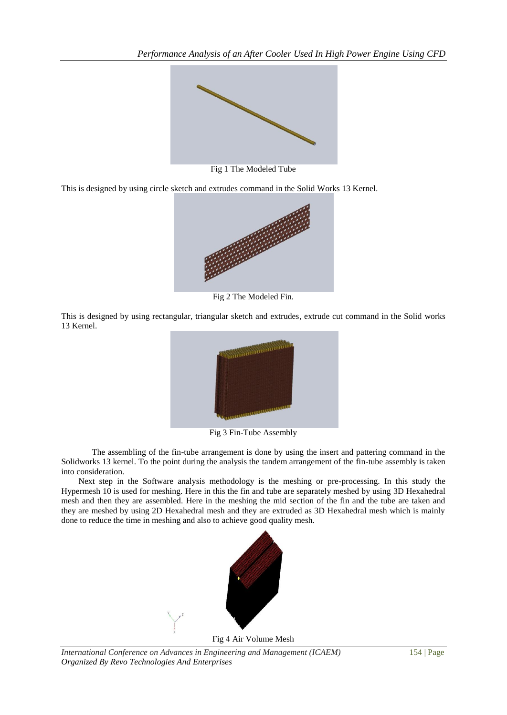

Fig 1 The Modeled Tube

This is designed by using circle sketch and extrudes command in the Solid Works 13 Kernel.



Fig 2 The Modeled Fin.

This is designed by using rectangular, triangular sketch and extrudes, extrude cut command in the Solid works 13 Kernel.



Fig 3 Fin-Tube Assembly

The assembling of the fin-tube arrangement is done by using the insert and pattering command in the Solidworks 13 kernel. To the point during the analysis the tandem arrangement of the fin-tube assembly is taken into consideration.

 Next step in the Software analysis methodology is the meshing or pre-processing. In this study the Hypermesh 10 is used for meshing. Here in this the fin and tube are separately meshed by using 3D Hexahedral mesh and then they are assembled. Here in the meshing the mid section of the fin and the tube are taken and they are meshed by using 2D Hexahedral mesh and they are extruded as 3D Hexahedral mesh which is mainly done to reduce the time in meshing and also to achieve good quality mesh.



Fig 4 Air Volume Mesh

*International Conference on Advances in Engineering and Management (ICAEM)* 154 | Page *Organized By Revo Technologies And Enterprises*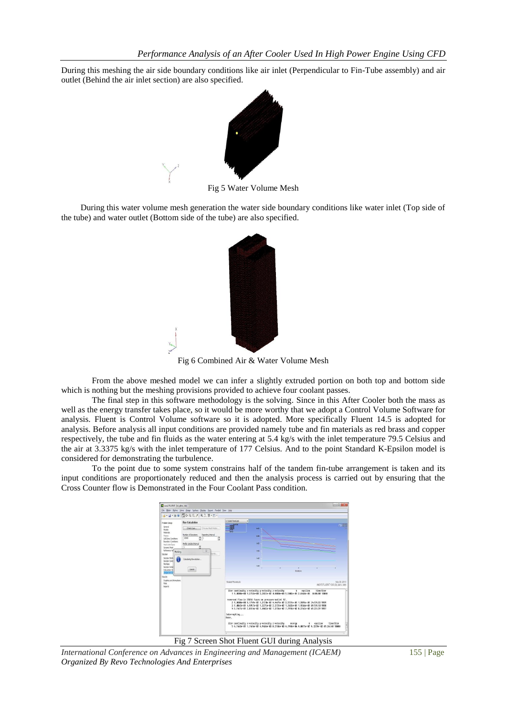During this meshing the air side boundary conditions like air inlet (Perpendicular to Fin-Tube assembly) and air outlet (Behind the air inlet section) are also specified.



Fig 5 Water Volume Mesh

 During this water volume mesh generation the water side boundary conditions like water inlet (Top side of the tube) and water outlet (Bottom side of the tube) are also specified.



Fig 6 Combined Air & Water Volume Mesh

From the above meshed model we can infer a slightly extruded portion on both top and bottom side which is nothing but the meshing provisions provided to achieve four coolant passes.

The final step in this software methodology is the solving. Since in this After Cooler both the mass as well as the energy transfer takes place, so it would be more worthy that we adopt a Control Volume Software for analysis. Fluent is Control Volume software so it is adopted. More specifically Fluent 14.5 is adopted for analysis. Before analysis all input conditions are provided namely tube and fin materials as red brass and copper respectively, the tube and fin fluids as the water entering at 5.4 kg/s with the inlet temperature 79.5 Celsius and the air at 3.3375 kg/s with the inlet temperature of 177 Celsius. And to the point Standard K-Epsilon model is considered for demonstrating the turbulence.

To the point due to some system constrains half of the tandem fin-tube arrangement is taken and its input conditions are proportionately reduced and then the analysis process is carried out by ensuring that the Cross Counter flow is Demonstrated in the Four Coolant Pass condition.



Fig 7 Screen Shot Fluent GUI during Analysis

*International Conference on Advances in Engineering and Management (ICAEM)* 155 | Page *Organized By Revo Technologies And Enterprises*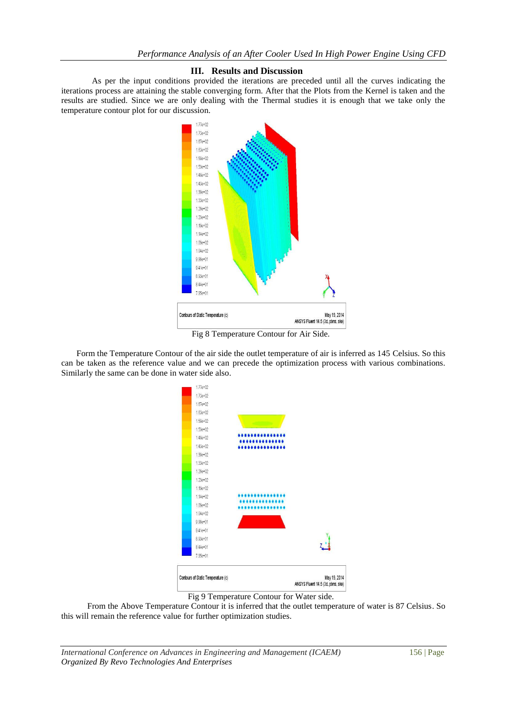#### **III. Results and Discussion**

As per the input conditions provided the iterations are preceded until all the curves indicating the iterations process are attaining the stable converging form. After that the Plots from the Kernel is taken and the results are studied. Since we are only dealing with the Thermal studies it is enough that we take only the temperature contour plot for our discussion.



Fig 8 Temperature Contour for Air Side.

Form the Temperature Contour of the air side the outlet temperature of air is inferred as 145 Celsius. So this can be taken as the reference value and we can precede the optimization process with various combinations. Similarly the same can be done in water side also.



Fig 9 Temperature Contour for Water side.

 From the Above Temperature Contour it is inferred that the outlet temperature of water is 87 Celsius. So this will remain the reference value for further optimization studies.